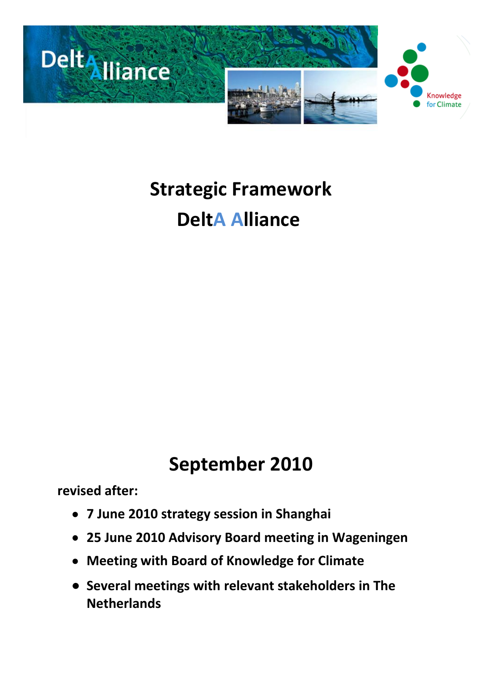

## **Strategic Framework DeltA Alliance**

## **September 2010**

**revised after:**

- **7 June 2010 strategy session in Shanghai**
- **25 June 2010 Advisory Board meeting in Wageningen**
- **Meeting with Board of Knowledge for Climate**
- **Several meetings with relevant stakeholders in The Netherlands**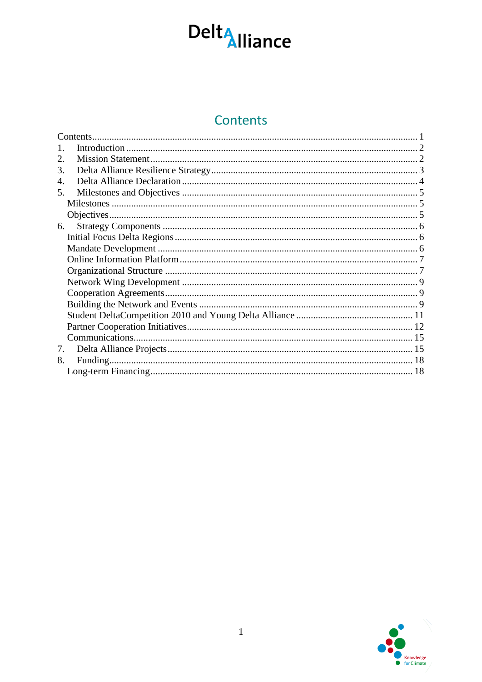

## Contents

<span id="page-2-0"></span>

|             | Contents. |  |
|-------------|-----------|--|
|             |           |  |
| $2_{\cdot}$ |           |  |
| 3.          |           |  |
| 4.          |           |  |
| 5.          |           |  |
|             |           |  |
|             |           |  |
| 6.          |           |  |
|             |           |  |
|             |           |  |
|             |           |  |
|             |           |  |
|             |           |  |
|             |           |  |
|             |           |  |
|             |           |  |
|             |           |  |
|             |           |  |
| 7.          |           |  |
| 8.          |           |  |
|             |           |  |
|             |           |  |

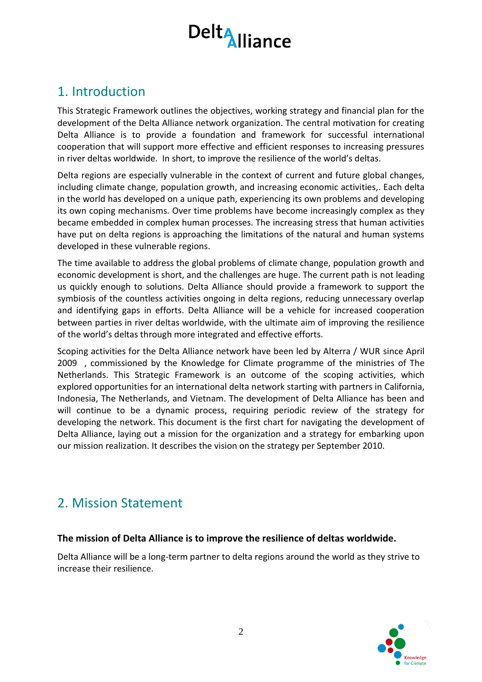## <span id="page-3-0"></span>1. Introduction

This Strategic Framework outlines the objectives, working strategy and financial plan for the development of the Delta Alliance network organization. The central motivation for creating Delta Alliance is to provide a foundation and framework for successful international cooperation that will support more effective and efficient responses to increasing pressures in river deltas worldwide. In short, to improve the resilience of the world's deltas.

Delta regions are especially vulnerable in the context of current and future global changes, including climate change, population growth, and increasing economic activities,. Each delta in the world has developed on a unique path, experiencing its own problems and developing its own coping mechanisms. Over time problems have become increasingly complex as they became embedded in complex human processes. The increasing stress that human activities have put on delta regions is approaching the limitations of the natural and human systems developed in these vulnerable regions.

The time available to address the global problems of climate change, population growth and economic development is short, and the challenges are huge. The current path is not leading us quickly enough to solutions. Delta Alliance should provide a framework to support the symbiosis of the countless activities ongoing in delta regions, reducing unnecessary overlap and identifying gaps in efforts. Delta Alliance will be a vehicle for increased cooperation between parties in river deltas worldwide, with the ultimate aim of improving the resilience of the world's deltas through more integrated and effective efforts.

Scoping activities for the Delta Alliance network have been led by Alterra / WUR since April 2009 , commissioned by the Knowledge for Climate programme of the ministries of The Netherlands. This Strategic Framework is an outcome of the scoping activities, which explored opportunities for an international delta network starting with partners in California, Indonesia, The Netherlands, and Vietnam. The development of Delta Alliance has been and will continue to be a dynamic process, requiring periodic review of the strategy for developing the network. This document is the first chart for navigating the development of Delta Alliance, laying out a mission for the organization and a strategy for embarking upon our mission realization. It describes the vision on the strategy per September 2010.

## <span id="page-3-1"></span>2. Mission Statement

#### **The mission of Delta Alliance is to improve the resilience of deltas worldwide.**

Delta Alliance will be a long-term partner to delta regions around the world as they strive to increase their resilience.

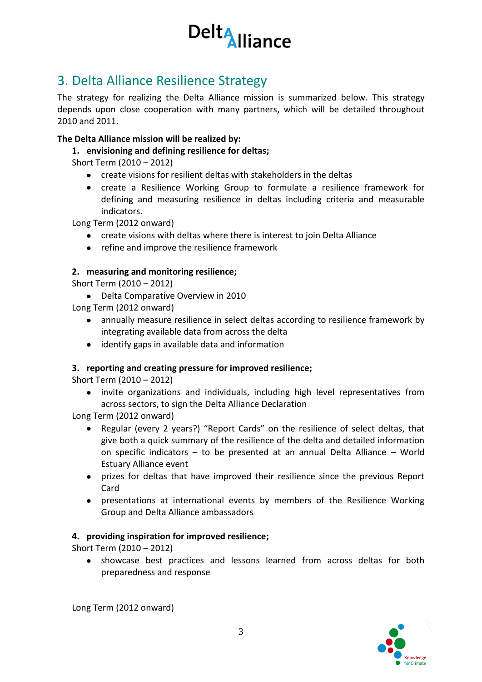

## <span id="page-4-0"></span>3. Delta Alliance Resilience Strategy

The strategy for realizing the Delta Alliance mission is summarized below. This strategy depends upon close cooperation with many partners, which will be detailed throughout 2010 and 2011.

#### **The Delta Alliance mission will be realized by:**

**1. envisioning and defining resilience for deltas;**

Short Term (2010 – 2012)

- create visions for resilient deltas with stakeholders in the deltas
- create a Resilience Working Group to formulate a resilience framework for defining and measuring resilience in deltas including criteria and measurable indicators.

Long Term (2012 onward)

- create visions with deltas where there is interest to join Delta Alliance
- refine and improve the resilience framework

#### **2. measuring and monitoring resilience;**

- Short Term (2010 2012)
	- Delta Comparative Overview in 2010
- Long Term (2012 onward)
	- annually measure resilience in select deltas according to resilience framework by integrating available data from across the delta
	- identify gaps in available data and information

#### **3. reporting and creating pressure for improved resilience;**

Short Term (2010 – 2012)

invite organizations and individuals, including high level representatives from across sectors, to sign the Delta Alliance Declaration

Long Term (2012 onward)

- Regular (every 2 years?) "Report Cards" on the resilience of select deltas, that  $\bullet$ give both a quick summary of the resilience of the delta and detailed information on specific indicators – to be presented at an annual Delta Alliance – World Estuary Alliance event
- prizes for deltas that have improved their resilience since the previous Report Card
- presentations at international events by members of the Resilience Working Group and Delta Alliance ambassadors

#### **4. providing inspiration for improved resilience;**

Short Term (2010 – 2012)

showcase best practices and lessons learned from across deltas for both  $\bullet$ preparedness and response

Long Term (2012 onward)

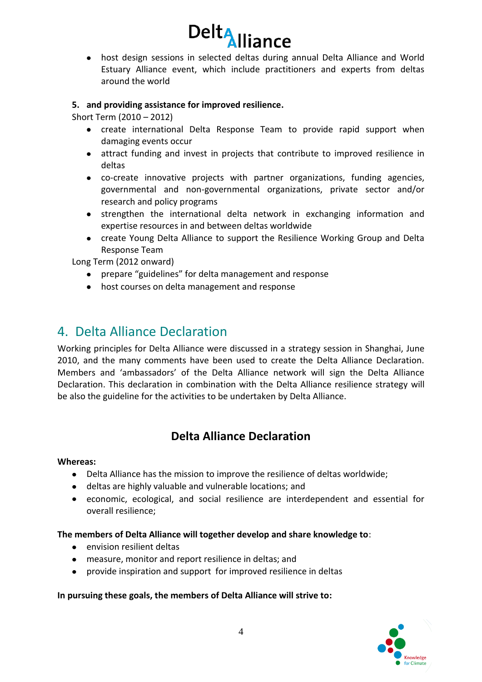![](_page_5_Picture_0.jpeg)

host design sessions in selected deltas during annual Delta Alliance and World Estuary Alliance event, which include practitioners and experts from deltas around the world

#### **5. and providing assistance for improved resilience.**

Short Term (2010 – 2012)

- create international Delta Response Team to provide rapid support when damaging events occur
- attract funding and invest in projects that contribute to improved resilience in deltas
- co-create innovative projects with partner organizations, funding agencies, governmental and non-governmental organizations, private sector and/or research and policy programs
- strengthen the international delta network in exchanging information and expertise resources in and between deltas worldwide
- create Young Delta Alliance to support the Resilience Working Group and Delta Response Team

Long Term (2012 onward)

- prepare "guidelines" for delta management and response
- host courses on delta management and response

### <span id="page-5-0"></span>4. Delta Alliance Declaration

Working principles for Delta Alliance were discussed in a strategy session in Shanghai, June 2010, and the many comments have been used to create the Delta Alliance Declaration. Members and 'ambassadors' of the Delta Alliance network will sign the Delta Alliance Declaration. This declaration in combination with the Delta Alliance resilience strategy will be also the guideline for the activities to be undertaken by Delta Alliance.

#### **Delta Alliance Declaration**

#### **Whereas:**

- Delta Alliance has the mission to improve the resilience of deltas worldwide;
- deltas are highly valuable and vulnerable locations; and
- economic, ecological, and social resilience are interdependent and essential for overall resilience;

**The members of Delta Alliance will together develop and share knowledge to**:

- envision resilient deltas
- measure, monitor and report resilience in deltas; and
- provide inspiration and support for improved resilience in deltas

#### **In pursuing these goals, the members of Delta Alliance will strive to:**

![](_page_5_Picture_24.jpeg)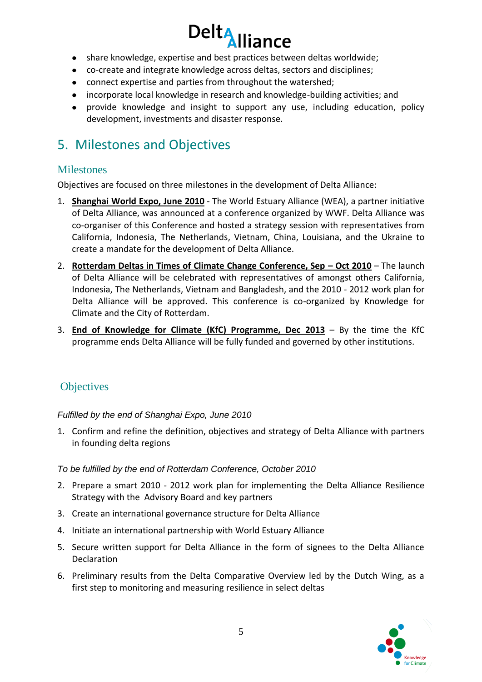- Delt<sub>Alliance</sub>
- share knowledge, expertise and best practices between deltas worldwide;
- co-create and integrate knowledge across deltas, sectors and disciplines;
- connect expertise and parties from throughout the watershed;
- incorporate local knowledge in research and knowledge-building activities; and
- provide knowledge and insight to support any use, including education, policy development, investments and disaster response.

## <span id="page-6-0"></span>5. Milestones and Objectives

#### <span id="page-6-1"></span>**Milestones**

Objectives are focused on three milestones in the development of Delta Alliance:

- 1. **Shanghai World Expo, June 2010** The World Estuary Alliance (WEA), a partner initiative of Delta Alliance, was announced at a conference organized by WWF. Delta Alliance was co-organiser of this Conference and hosted a strategy session with representatives from California, Indonesia, The Netherlands, Vietnam, China, Louisiana, and the Ukraine to create a mandate for the development of Delta Alliance.
- 2. **Rotterdam Deltas in Times of Climate Change Conference, Sep – Oct 2010** The launch of Delta Alliance will be celebrated with representatives of amongst others California, Indonesia, The Netherlands, Vietnam and Bangladesh, and the 2010 - 2012 work plan for Delta Alliance will be approved. This conference is co-organized by Knowledge for Climate and the City of Rotterdam.
- 3. **End of Knowledge for Climate (KfC) Programme, Dec 2013** By the time the KfC programme ends Delta Alliance will be fully funded and governed by other institutions.

#### <span id="page-6-2"></span>**Objectives**

*Fulfilled by the end of Shanghai Expo, June 2010*

1. Confirm and refine the definition, objectives and strategy of Delta Alliance with partners in founding delta regions

#### *To be fulfilled by the end of Rotterdam Conference, October 2010*

- 2. Prepare a smart 2010 2012 work plan for implementing the Delta Alliance Resilience Strategy with the Advisory Board and key partners
- 3. Create an international governance structure for Delta Alliance
- 4. Initiate an international partnership with World Estuary Alliance
- 5. Secure written support for Delta Alliance in the form of signees to the Delta Alliance Declaration
- 6. Preliminary results from the Delta Comparative Overview led by the Dutch Wing, as a first step to monitoring and measuring resilience in select deltas

![](_page_6_Picture_21.jpeg)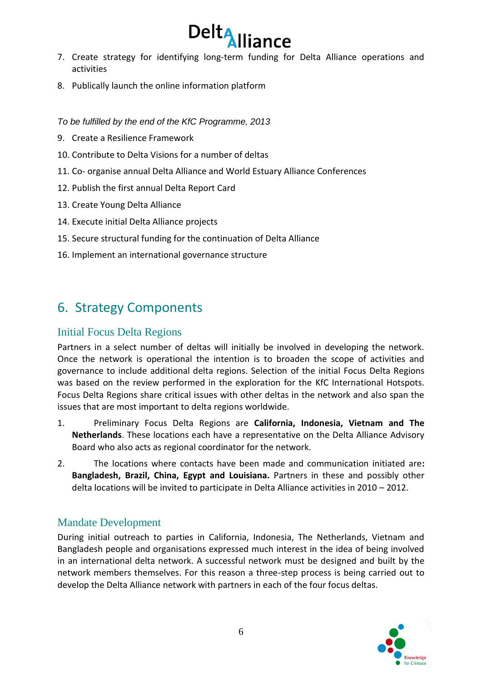![](_page_7_Picture_0.jpeg)

- 7. Create strategy for identifying long-term funding for Delta Alliance operations and activities
- 8. Publically launch the online information platform

*To be fulfilled by the end of the KfC Programme, 2013*

- 9. Create a Resilience Framework
- 10. Contribute to Delta Visions for a number of deltas
- 11. Co- organise annual Delta Alliance and World Estuary Alliance Conferences
- 12. Publish the first annual Delta Report Card
- 13. Create Young Delta Alliance
- 14. Execute initial Delta Alliance projects
- 15. Secure structural funding for the continuation of Delta Alliance
- 16. Implement an international governance structure

### <span id="page-7-0"></span>6. Strategy Components

#### <span id="page-7-1"></span>Initial Focus Delta Regions

Partners in a select number of deltas will initially be involved in developing the network. Once the network is operational the intention is to broaden the scope of activities and governance to include additional delta regions. Selection of the initial Focus Delta Regions was based on the review performed in the exploration for the KfC International Hotspots. Focus Delta Regions share critical issues with other deltas in the network and also span the issues that are most important to delta regions worldwide.

- 1. Preliminary Focus Delta Regions are **California, Indonesia, Vietnam and The Netherlands**. These locations each have a representative on the Delta Alliance Advisory Board who also acts as regional coordinator for the network.
- 2. The locations where contacts have been made and communication initiated are**: Bangladesh, Brazil, China, Egypt and Louisiana.** Partners in these and possibly other delta locations will be invited to participate in Delta Alliance activities in 2010 – 2012.

#### <span id="page-7-2"></span>Mandate Development

During initial outreach to parties in California, Indonesia, The Netherlands, Vietnam and Bangladesh people and organisations expressed much interest in the idea of being involved in an international delta network. A successful network must be designed and built by the network members themselves. For this reason a three-step process is being carried out to develop the Delta Alliance network with partners in each of the four focus deltas.

![](_page_7_Picture_19.jpeg)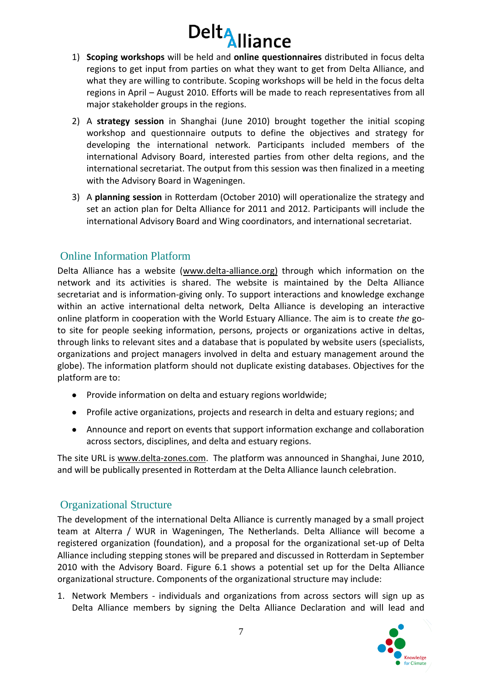- 1) **Scoping workshops** will be held and **online questionnaires** distributed in focus delta regions to get input from parties on what they want to get from Delta Alliance, and what they are willing to contribute. Scoping workshops will be held in the focus delta regions in April – August 2010. Efforts will be made to reach representatives from all major stakeholder groups in the regions.
- 2) A **strategy session** in Shanghai (June 2010) brought together the initial scoping workshop and questionnaire outputs to define the objectives and strategy for developing the international network. Participants included members of the international Advisory Board, interested parties from other delta regions, and the international secretariat. The output from this session was then finalized in a meeting with the Advisory Board in Wageningen.
- 3) A **planning session** in Rotterdam (October 2010) will operationalize the strategy and set an action plan for Delta Alliance for 2011 and 2012. Participants will include the international Advisory Board and Wing coordinators, and international secretariat.

#### <span id="page-8-0"></span>Online Information Platform

Delta Alliance has a website (www.delta-alliance.org) through which information on the network and its activities is shared. The website is maintained by the Delta Alliance secretariat and is information-giving only. To support interactions and knowledge exchange within an active international delta network, Delta Alliance is developing an interactive online platform in cooperation with the World Estuary Alliance. The aim is to create *the* goto site for people seeking information, persons, projects or organizations active in deltas, through links to relevant sites and a database that is populated by website users (specialists, organizations and project managers involved in delta and estuary management around the globe). The information platform should not duplicate existing databases. Objectives for the platform are to:

- Provide information on delta and estuary regions worldwide;
- Profile active organizations, projects and research in delta and estuary regions; and
- Announce and report on events that support information exchange and collaboration across sectors, disciplines, and delta and estuary regions.

The site URL is www.delta-zones.com. The platform was announced in Shanghai, June 2010, and will be publically presented in Rotterdam at the Delta Alliance launch celebration.

#### <span id="page-8-1"></span>Organizational Structure

The development of the international Delta Alliance is currently managed by a small project team at Alterra / WUR in Wageningen, The Netherlands. Delta Alliance will become a registered organization (foundation), and a proposal for the organizational set-up of Delta Alliance including stepping stones will be prepared and discussed in Rotterdam in September 2010 with the Advisory Board. Figure 6.1 shows a potential set up for the Delta Alliance organizational structure. Components of the organizational structure may include:

1. Network Members - individuals and organizations from across sectors will sign up as Delta Alliance members by signing the Delta Alliance Declaration and will lead and

![](_page_8_Picture_13.jpeg)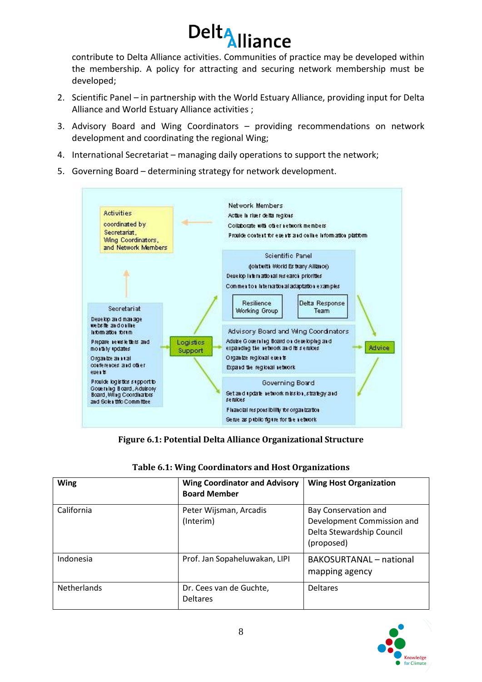![](_page_9_Picture_0.jpeg)

contribute to Delta Alliance activities. Communities of practice may be developed within the membership. A policy for attracting and securing network membership must be developed;

- 2. Scientific Panel in partnership with the World Estuary Alliance, providing input for Delta Alliance and World Estuary Alliance activities ;
- 3. Advisory Board and Wing Coordinators providing recommendations on network development and coordinating the regional Wing;
- 4. International Secretariat managing daily operations to support the network;
- 5. Governing Board determining strategy for network development.

![](_page_9_Figure_6.jpeg)

**Figure 6.1: Potential Delta Alliance Organizational Structure**

| <b>Wing</b>        | <b>Wing Coordinator and Advisory</b><br><b>Board Member</b> | <b>Wing Host Organization</b>                                                                 |
|--------------------|-------------------------------------------------------------|-----------------------------------------------------------------------------------------------|
| California         | Peter Wijsman, Arcadis<br>(Interim)                         | Bay Conservation and<br>Development Commission and<br>Delta Stewardship Council<br>(proposed) |
| Indonesia          | Prof. Jan Sopaheluwakan, LIPI                               | <b>BAKOSURTANAL</b> - national<br>mapping agency                                              |
| <b>Netherlands</b> | Dr. Cees van de Guchte,<br><b>Deltares</b>                  | <b>Deltares</b>                                                                               |

|  | Table 6.1: Wing Coordinators and Host Organizations |  |
|--|-----------------------------------------------------|--|
|  |                                                     |  |

![](_page_9_Picture_10.jpeg)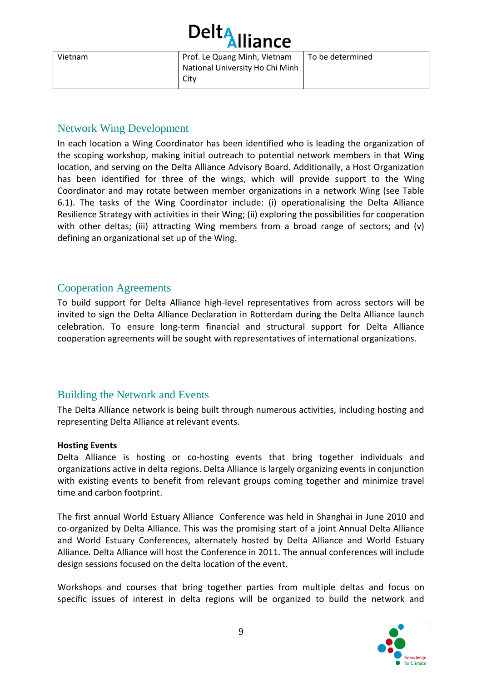|         | Delt <sub>Alliance</sub>                                                |                  |
|---------|-------------------------------------------------------------------------|------------------|
| Vietnam | Prof. Le Quang Minh, Vietnam<br>National University Ho Chi Minh<br>City | To be determined |

#### <span id="page-10-0"></span>Network Wing Development

In each location a Wing Coordinator has been identified who is leading the organization of the scoping workshop, making initial outreach to potential network members in that Wing location, and serving on the Delta Alliance Advisory Board. Additionally, a Host Organization has been identified for three of the wings, which will provide support to the Wing Coordinator and may rotate between member organizations in a network Wing (see Table 6.1). The tasks of the Wing Coordinator include: (i) operationalising the Delta Alliance Resilience Strategy with activities in their Wing; (ii) exploring the possibilities for cooperation with other deltas; (iii) attracting Wing members from a broad range of sectors; and (v) defining an organizational set up of the Wing.

#### <span id="page-10-1"></span>Cooperation Agreements

To build support for Delta Alliance high-level representatives from across sectors will be invited to sign the Delta Alliance Declaration in Rotterdam during the Delta Alliance launch celebration. To ensure long-term financial and structural support for Delta Alliance cooperation agreements will be sought with representatives of international organizations.

#### <span id="page-10-2"></span>Building the Network and Events

The Delta Alliance network is being built through numerous activities, including hosting and representing Delta Alliance at relevant events.

#### **Hosting Events**

Delta Alliance is hosting or co-hosting events that bring together individuals and organizations active in delta regions. Delta Alliance is largely organizing events in conjunction with existing events to benefit from relevant groups coming together and minimize travel time and carbon footprint.

The first annual World Estuary Alliance Conference was held in Shanghai in June 2010 and co-organized by Delta Alliance. This was the promising start of a joint Annual Delta Alliance and World Estuary Conferences, alternately hosted by Delta Alliance and World Estuary Alliance. Delta Alliance will host the Conference in 2011. The annual conferences will include design sessions focused on the delta location of the event.

Workshops and courses that bring together parties from multiple deltas and focus on specific issues of interest in delta regions will be organized to build the network and

![](_page_10_Picture_11.jpeg)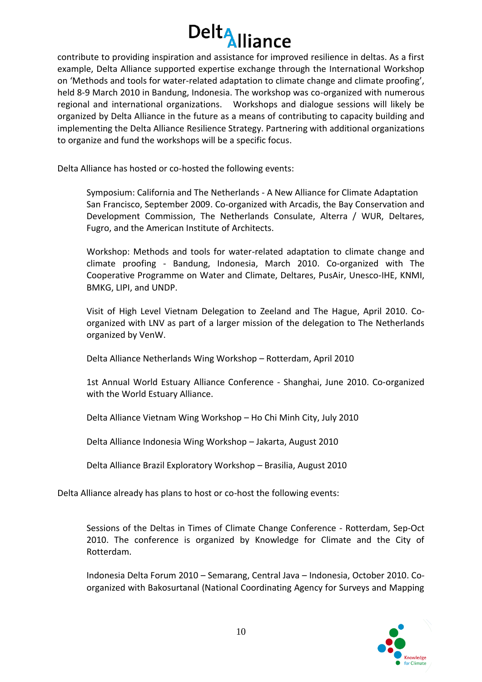![](_page_11_Picture_0.jpeg)

contribute to providing inspiration and assistance for improved resilience in deltas. As a first example, Delta Alliance supported expertise exchange through the International Workshop on 'Methods and tools for water-related adaptation to climate change and climate proofing', held 8-9 March 2010 in Bandung, Indonesia. The workshop was co-organized with numerous regional and international organizations. Workshops and dialogue sessions will likely be organized by Delta Alliance in the future as a means of contributing to capacity building and implementing the Delta Alliance Resilience Strategy. Partnering with additional organizations to organize and fund the workshops will be a specific focus.

Delta Alliance has hosted or co-hosted the following events:

Symposium: California and The Netherlands - A New Alliance for Climate Adaptation San Francisco, September 2009. Co-organized with Arcadis, the Bay Conservation and Development Commission, The Netherlands Consulate, Alterra / WUR, Deltares, Fugro, and the American Institute of Architects.

Workshop: Methods and tools for water-related adaptation to climate change and climate proofing - Bandung, Indonesia, March 2010. Co-organized with The Cooperative Programme on Water and Climate, Deltares, PusAir, Unesco-IHE, KNMI, BMKG, LIPI, and UNDP.

Visit of High Level Vietnam Delegation to Zeeland and The Hague, April 2010. Coorganized with LNV as part of a larger mission of the delegation to The Netherlands organized by VenW.

Delta Alliance Netherlands Wing Workshop – Rotterdam, April 2010

1st Annual World Estuary Alliance Conference - Shanghai, June 2010. Co-organized with the World Estuary Alliance.

Delta Alliance Vietnam Wing Workshop – Ho Chi Minh City, July 2010

Delta Alliance Indonesia Wing Workshop – Jakarta, August 2010

Delta Alliance Brazil Exploratory Workshop – Brasilia, August 2010

Delta Alliance already has plans to host or co-host the following events:

Sessions of the Deltas in Times of Climate Change Conference - Rotterdam, Sep-Oct 2010. The conference is organized by Knowledge for Climate and the City of Rotterdam.

Indonesia Delta Forum 2010 – Semarang, Central Java – Indonesia, October 2010. Coorganized with Bakosurtanal (National Coordinating Agency for Surveys and Mapping

![](_page_11_Picture_14.jpeg)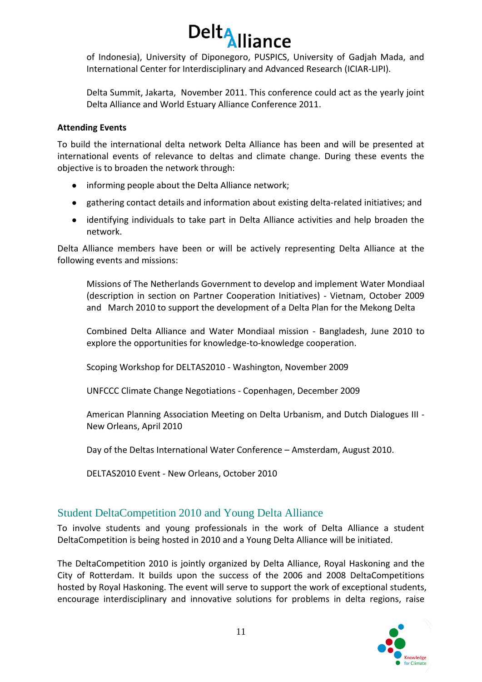![](_page_12_Picture_0.jpeg)

of Indonesia), University of Diponegoro, PUSPICS, University of Gadjah Mada, and International Center for Interdisciplinary and Advanced Research (ICIAR-LIPI).

Delta Summit, Jakarta, November 2011. This conference could act as the yearly joint Delta Alliance and World Estuary Alliance Conference 2011.

#### **Attending Events**

To build the international delta network Delta Alliance has been and will be presented at international events of relevance to deltas and climate change. During these events the objective is to broaden the network through:

- informing people about the Delta Alliance network;
- gathering contact details and information about existing delta-related initiatives; and
- identifying individuals to take part in Delta Alliance activities and help broaden the network.

Delta Alliance members have been or will be actively representing Delta Alliance at the following events and missions:

Missions of The Netherlands Government to develop and implement Water Mondiaal (description in section on Partner Cooperation Initiatives) - Vietnam, October 2009 and March 2010 to support the development of a Delta Plan for the Mekong Delta

Combined Delta Alliance and Water Mondiaal mission - Bangladesh, June 2010 to explore the opportunities for knowledge-to-knowledge cooperation.

Scoping Workshop for DELTAS2010 - Washington, November 2009

UNFCCC Climate Change Negotiations - Copenhagen, December 2009

American Planning Association Meeting on Delta Urbanism, and Dutch Dialogues III - New Orleans, April 2010

Day of the Deltas International Water Conference – Amsterdam, August 2010.

DELTAS2010 Event - New Orleans, October 2010

#### <span id="page-12-0"></span>Student DeltaCompetition 2010 and Young Delta Alliance

To involve students and young professionals in the work of Delta Alliance a student DeltaCompetition is being hosted in 2010 and a Young Delta Alliance will be initiated.

The DeltaCompetition 2010 is jointly organized by Delta Alliance, Royal Haskoning and the City of Rotterdam. It builds upon the success of the 2006 and 2008 DeltaCompetitions hosted by Royal Haskoning. The event will serve to support the work of exceptional students, encourage interdisciplinary and innovative solutions for problems in delta regions, raise

![](_page_12_Picture_19.jpeg)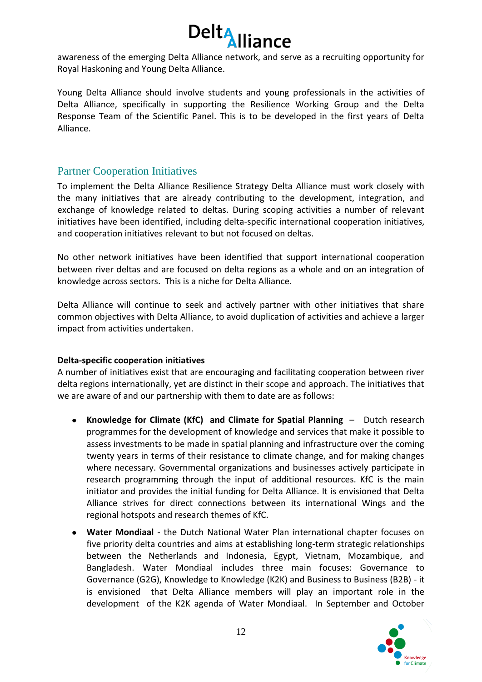awareness of the emerging Delta Alliance network, and serve as a recruiting opportunity for Royal Haskoning and Young Delta Alliance.

Young Delta Alliance should involve students and young professionals in the activities of Delta Alliance, specifically in supporting the Resilience Working Group and the Delta Response Team of the Scientific Panel. This is to be developed in the first years of Delta Alliance.

#### <span id="page-13-0"></span>Partner Cooperation Initiatives

To implement the Delta Alliance Resilience Strategy Delta Alliance must work closely with the many initiatives that are already contributing to the development, integration, and exchange of knowledge related to deltas. During scoping activities a number of relevant initiatives have been identified, including delta-specific international cooperation initiatives, and cooperation initiatives relevant to but not focused on deltas.

No other network initiatives have been identified that support international cooperation between river deltas and are focused on delta regions as a whole and on an integration of knowledge across sectors. This is a niche for Delta Alliance.

Delta Alliance will continue to seek and actively partner with other initiatives that share common objectives with Delta Alliance, to avoid duplication of activities and achieve a larger impact from activities undertaken.

#### **Delta-specific cooperation initiatives**

A number of initiatives exist that are encouraging and facilitating cooperation between river delta regions internationally, yet are distinct in their scope and approach. The initiatives that we are aware of and our partnership with them to date are as follows:

- $\bullet$ **Knowledge for Climate (KfC) and Climate for Spatial Planning** – Dutch research programmes for the development of knowledge and services that make it possible to assess investments to be made in spatial planning and infrastructure over the coming twenty years in terms of their resistance to climate change, and for making changes where necessary. Governmental organizations and businesses actively participate in research programming through the input of additional resources. KfC is the main initiator and provides the initial funding for Delta Alliance. It is envisioned that Delta Alliance strives for direct connections between its international Wings and the regional hotspots and research themes of KfC.
- **Water Mondiaal** the Dutch National Water Plan international chapter focuses on five priority delta countries and aims at establishing long-term strategic relationships between the Netherlands and Indonesia, Egypt, Vietnam, Mozambique, and Bangladesh. Water Mondiaal includes three main focuses: Governance to Governance (G2G), Knowledge to Knowledge (K2K) and Business to Business (B2B) - it is envisioned that Delta Alliance members will play an important role in the development of the K2K agenda of Water Mondiaal. In September and October

![](_page_13_Picture_11.jpeg)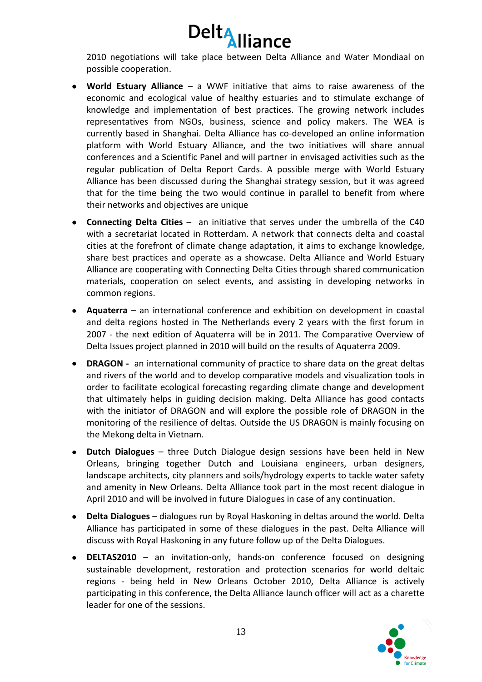![](_page_14_Picture_0.jpeg)

2010 negotiations will take place between Delta Alliance and Water Mondiaal on possible cooperation.

- **World Estuary Alliance** a WWF initiative that aims to raise awareness of the economic and ecological value of healthy estuaries and to stimulate exchange of knowledge and implementation of best practices. The growing network includes representatives from NGOs, business, science and policy makers. The WEA is currently based in Shanghai. Delta Alliance has co-developed an online information platform with World Estuary Alliance, and the two initiatives will share annual conferences and a Scientific Panel and will partner in envisaged activities such as the regular publication of Delta Report Cards. A possible merge with World Estuary Alliance has been discussed during the Shanghai strategy session, but it was agreed that for the time being the two would continue in parallel to benefit from where their networks and objectives are unique
- **Connecting Delta Cities** an initiative that serves under the umbrella of the C40 with a secretariat located in Rotterdam. A network that connects delta and coastal cities at the forefront of climate change adaptation, it aims to exchange knowledge, share best practices and operate as a showcase. Delta Alliance and World Estuary Alliance are cooperating with Connecting Delta Cities through shared communication materials, cooperation on select events, and assisting in developing networks in common regions.
- **Aquaterra** an international conference and exhibition on development in coastal and delta regions hosted in The Netherlands every 2 years with the first forum in 2007 - the next edition of Aquaterra will be in 2011. The Comparative Overview of Delta Issues project planned in 2010 will build on the results of Aquaterra 2009.
- **DRAGON -** an international community of practice to share data on the great deltas and rivers of the world and to develop comparative models and visualization tools in order to facilitate ecological forecasting regarding climate change and development that ultimately helps in guiding decision making. Delta Alliance has good contacts with the initiator of DRAGON and will explore the possible role of DRAGON in the monitoring of the resilience of deltas. Outside the US DRAGON is mainly focusing on the Mekong delta in Vietnam.
- **Dutch Dialogues** three Dutch Dialogue design sessions have been held in New Orleans, bringing together Dutch and Louisiana engineers, urban designers, landscape architects, city planners and soils/hydrology experts to tackle water safety and amenity in New Orleans. Delta Alliance took part in the most recent dialogue in April 2010 and will be involved in future Dialogues in case of any continuation.
- **Delta Dialogues** dialogues run by Royal Haskoning in deltas around the world. Delta Alliance has participated in some of these dialogues in the past. Delta Alliance will discuss with Royal Haskoning in any future follow up of the Delta Dialogues.
- **DELTAS2010** an invitation-only, hands-on conference focused on designing sustainable development, restoration and protection scenarios for world deltaic regions - being held in New Orleans October 2010, Delta Alliance is actively participating in this conference, the Delta Alliance launch officer will act as a charette leader for one of the sessions.

![](_page_14_Picture_9.jpeg)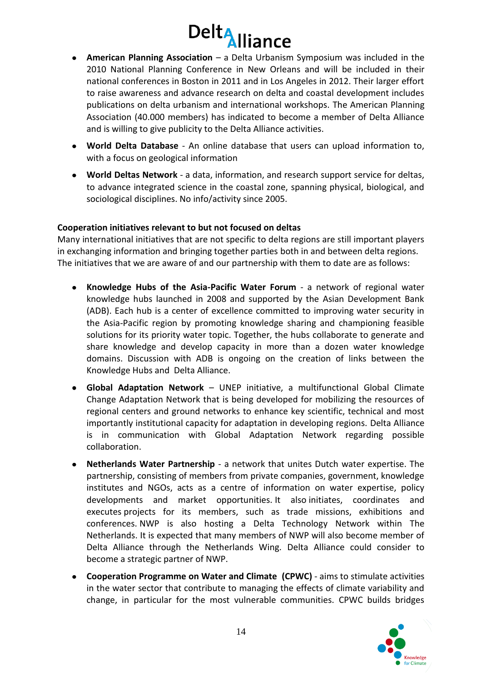![](_page_15_Picture_0.jpeg)

- **American Planning Association** a Delta Urbanism Symposium was included in the  $\bullet$ 2010 National Planning Conference in New Orleans and will be included in their national conferences in Boston in 2011 and in Los Angeles in 2012. Their larger effort to raise awareness and advance research on delta and coastal development includes publications on delta urbanism and international workshops. The American Planning Association (40.000 members) has indicated to become a member of Delta Alliance and is willing to give publicity to the Delta Alliance activities.
- **World Delta Database** An online database that users can upload information to, with a focus on geological information
- **World Deltas Network** a data, information, and research support service for deltas, to advance integrated science in the coastal zone, spanning physical, biological, and sociological disciplines. No info/activity since 2005.

#### **Cooperation initiatives relevant to but not focused on deltas**

Many international initiatives that are not specific to delta regions are still important players in exchanging information and bringing together parties both in and between delta regions. The initiatives that we are aware of and our partnership with them to date are as follows:

- **Knowledge Hubs of the Asia-Pacific Water Forum** a network of regional water knowledge hubs launched in 2008 and supported by the Asian Development Bank (ADB). Each hub is a center of excellence committed to improving water security in the Asia-Pacific region by promoting knowledge sharing and championing feasible solutions for its priority water topic. Together, the hubs collaborate to generate and share knowledge and develop capacity in more than a dozen water knowledge domains. Discussion with ADB is ongoing on the creation of links between the Knowledge Hubs and Delta Alliance.
- **Global Adaptation Network** UNEP initiative, a multifunctional Global Climate Change Adaptation Network that is being developed for mobilizing the resources of regional centers and ground networks to enhance key scientific, technical and most importantly institutional capacity for adaptation in developing regions. Delta Alliance is in communication with Global Adaptation Network regarding possible collaboration.
- **Netherlands Water Partnership** a network that unites Dutch water expertise. The partnership, consisting of members from private companies, government, knowledge institutes and NGOs, acts as a centre of information on water expertise, policy developments and market opportunities. It also initiates, coordinates and executes projects for its members, such as trade missions, exhibitions and conferences. NWP is also hosting a Delta Technology Network within The Netherlands. It is expected that many members of NWP will also become member of Delta Alliance through the Netherlands Wing. Delta Alliance could consider to become a strategic partner of NWP.
- **Cooperation Programme on Water and Climate (CPWC)** aims to stimulate activities in the water sector that contribute to managing the effects of climate variability and change, in particular for the most vulnerable communities. CPWC builds bridges

![](_page_15_Picture_10.jpeg)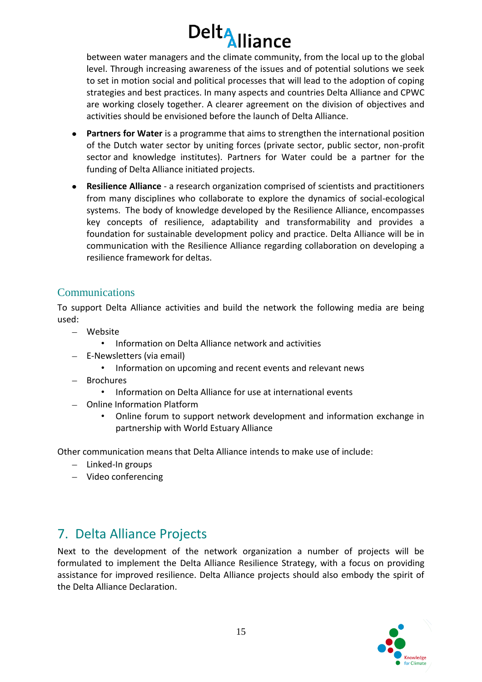between water managers and the climate community, from the local up to the global level. Through increasing awareness of the issues and of potential solutions we seek to set in motion social and political processes that will lead to the adoption of coping strategies and best practices. In many aspects and countries Delta Alliance and CPWC are working closely together. A clearer agreement on the division of objectives and activities should be envisioned before the launch of Delta Alliance.

- **Partners for Water** is a programme that aims to strengthen the international position of the Dutch water sector by uniting forces (private sector, public sector, non-profit sector and knowledge institutes). Partners for Water could be a partner for the funding of Delta Alliance initiated projects.
- **Resilience Alliance** a research organization comprised of scientists and practitioners from many disciplines who collaborate to explore the dynamics of social-ecological systems. The body of knowledge developed by the Resilience Alliance, encompasses key concepts of resilience, adaptability and transformability and provides a foundation for sustainable development policy and practice. Delta Alliance will be in communication with the Resilience Alliance regarding collaboration on developing a resilience framework for deltas.

#### <span id="page-16-0"></span>Communications

To support Delta Alliance activities and build the network the following media are being used:

- Website
	- Information on Delta Alliance network and activities
- E-Newsletters (via email)
	- Information on upcoming and recent events and relevant news
- $-$  Brochures
	- Information on Delta Alliance for use at international events
- Online Information Platform
	- Online forum to support network development and information exchange in partnership with World Estuary Alliance

Other communication means that Delta Alliance intends to make use of include:

- $-$  Linked-In groups
- Video conferencing

## <span id="page-16-1"></span>7. Delta Alliance Projects

Next to the development of the network organization a number of projects will be formulated to implement the Delta Alliance Resilience Strategy, with a focus on providing assistance for improved resilience. Delta Alliance projects should also embody the spirit of the Delta Alliance Declaration.

![](_page_16_Picture_19.jpeg)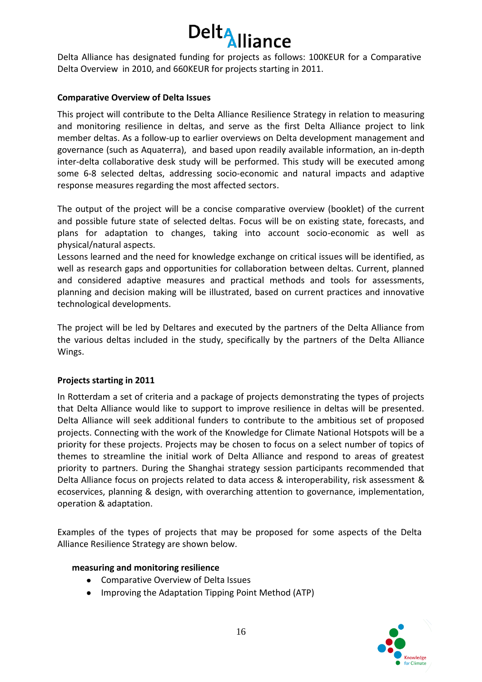![](_page_17_Picture_0.jpeg)

Delta Alliance has designated funding for projects as follows: 100KEUR for a Comparative Delta Overview in 2010, and 660KEUR for projects starting in 2011.

#### **Comparative Overview of Delta Issues**

This project will contribute to the Delta Alliance Resilience Strategy in relation to measuring and monitoring resilience in deltas, and serve as the first Delta Alliance project to link member deltas. As a follow-up to earlier overviews on Delta development management and governance (such as Aquaterra), and based upon readily available information, an in-depth inter-delta collaborative desk study will be performed. This study will be executed among some 6-8 selected deltas, addressing socio-economic and natural impacts and adaptive response measures regarding the most affected sectors.

The output of the project will be a concise comparative overview (booklet) of the current and possible future state of selected deltas. Focus will be on existing state, forecasts, and plans for adaptation to changes, taking into account socio-economic as well as physical/natural aspects.

Lessons learned and the need for knowledge exchange on critical issues will be identified, as well as research gaps and opportunities for collaboration between deltas. Current, planned and considered adaptive measures and practical methods and tools for assessments, planning and decision making will be illustrated, based on current practices and innovative technological developments.

The project will be led by Deltares and executed by the partners of the Delta Alliance from the various deltas included in the study, specifically by the partners of the Delta Alliance Wings.

#### **Projects starting in 2011**

In Rotterdam a set of criteria and a package of projects demonstrating the types of projects that Delta Alliance would like to support to improve resilience in deltas will be presented. Delta Alliance will seek additional funders to contribute to the ambitious set of proposed projects. Connecting with the work of the Knowledge for Climate National Hotspots will be a priority for these projects. Projects may be chosen to focus on a select number of topics of themes to streamline the initial work of Delta Alliance and respond to areas of greatest priority to partners. During the Shanghai strategy session participants recommended that Delta Alliance focus on projects related to data access & interoperability, risk assessment & ecoservices, planning & design, with overarching attention to governance, implementation, operation & adaptation.

Examples of the types of projects that may be proposed for some aspects of the Delta Alliance Resilience Strategy are shown below.

#### **measuring and monitoring resilience**

- Comparative Overview of Delta Issues
- Improving the Adaptation Tipping Point Method (ATP)

![](_page_17_Picture_13.jpeg)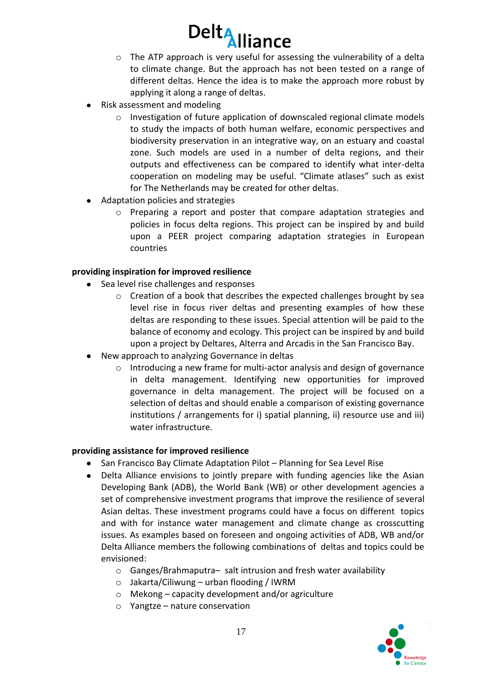- o The ATP approach is very useful for assessing the vulnerability of a delta to climate change. But the approach has not been tested on a range of different deltas. Hence the idea is to make the approach more robust by applying it along a range of deltas.
- Risk assessment and modeling
	- o Investigation of future application of downscaled regional climate models to study the impacts of both human welfare, economic perspectives and biodiversity preservation in an integrative way, on an estuary and coastal zone. Such models are used in a number of delta regions, and their outputs and effectiveness can be compared to identify what inter-delta cooperation on modeling may be useful. "Climate atlases" such as exist for The Netherlands may be created for other deltas.
- Adaptation policies and strategies
	- o Preparing a report and poster that compare adaptation strategies and policies in focus delta regions. This project can be inspired by and build upon [a PEER project comparing adaptation strategies in European](http://www.peer.eu/fileadmin/user_upload/publications/PEER_Report1.pdf)  [countries](http://www.peer.eu/fileadmin/user_upload/publications/PEER_Report1.pdf)

#### **providing inspiration for improved resilience**

- Sea level rise challenges and responses
	- o Creation of a book that describes the expected challenges brought by sea level rise in focus river deltas and presenting examples of how these deltas are responding to these issues. Special attention will be paid to the balance of economy and ecology. This project can be inspired by and build upon [a project by Deltares, Alterra and Arcadis in the San Francisco Bay.](http://www.bcdc.ca.gov/planning/climate_change/SFBay_preparing_%20for_the_next_Level.pdf)
- New approach to analyzing Governance in deltas
	- o Introducing a new frame for multi-actor analysis and design of governance in delta management. Identifying new opportunities for improved governance in delta management. The project will be focused on a selection of deltas and should enable a comparison of existing governance institutions / arrangements for i) spatial planning, ii) resource use and iii) water infrastructure.

#### **providing assistance for improved resilience**

- San Francisco Bay Climate Adaptation Pilot Planning for Sea Level Rise
- Delta Alliance envisions to jointly prepare with funding agencies like the Asian  $\bullet$ Developing Bank (ADB), the World Bank (WB) or other development agencies a set of comprehensive investment programs that improve the resilience of several Asian deltas. These investment programs could have a focus on different topics and with for instance water management and climate change as crosscutting issues. As examples based on foreseen and ongoing activities of ADB, WB and/or Delta Alliance members the following combinations of deltas and topics could be envisioned:
	- o Ganges/Brahmaputra– salt intrusion and fresh water availability
	- o Jakarta/Ciliwung urban flooding / IWRM
	- o Mekong capacity development and/or agriculture
	- o Yangtze nature conservation

![](_page_18_Picture_18.jpeg)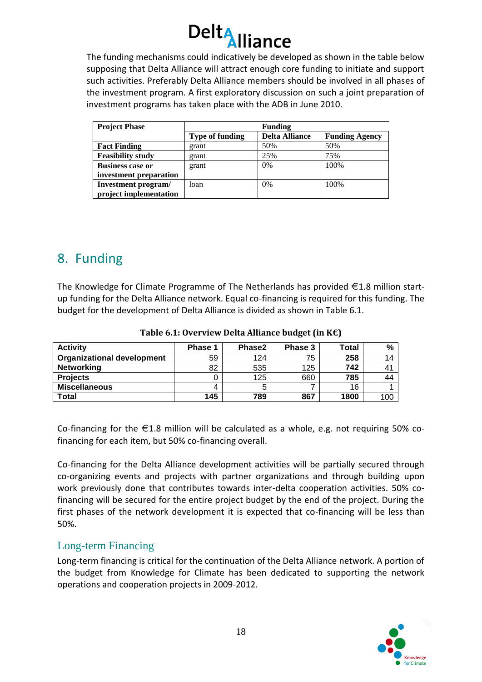![](_page_19_Picture_0.jpeg)

The funding mechanisms could indicatively be developed as shown in the table below supposing that Delta Alliance will attract enough core funding to initiate and support such activities. Preferably Delta Alliance members should be involved in all phases of the investment program. A first exploratory discussion on such a joint preparation of investment programs has taken place with the ADB in June 2010.

| <b>Project Phase</b>     | <b>Funding</b>         |                       |                       |  |
|--------------------------|------------------------|-----------------------|-----------------------|--|
|                          | <b>Type of funding</b> | <b>Delta Alliance</b> | <b>Funding Agency</b> |  |
| <b>Fact Finding</b>      | grant                  | 50%                   | 50%                   |  |
| <b>Feasibility study</b> | grant                  | 25%                   | 75%                   |  |
| <b>Business case or</b>  | grant                  | 0%                    | 100%                  |  |
| investment preparation   |                        |                       |                       |  |
| Investment program/      | loan                   | 0%                    | 100\%                 |  |
| project implementation   |                        |                       |                       |  |

### <span id="page-19-0"></span>8. Funding

The Knowledge for Climate Programme of The Netherlands has provided  $\epsilon$ 1.8 million startup funding for the Delta Alliance network. Equal co-financing is required for this funding. The budget for the development of Delta Alliance is divided as shown in Table 6.1.

| <b>Activity</b>                   | Phase 1 | Phase2 | Phase 3 | Total | %   |
|-----------------------------------|---------|--------|---------|-------|-----|
| <b>Organizational development</b> | 59      | 124    | 75      | 258   | 14  |
| <b>Networking</b>                 | 82      | 535    | 125     | 742   | 41  |
| <b>Projects</b>                   |         | 125    | 660     | 785   | 44  |
| <b>Miscellaneous</b>              |         |        |         | 16    |     |
| <b>Total</b>                      | 145     | 789    | 867     | 1800  | 100 |

**Table 6.1: Overview Delta Alliance budget (in K€)**

Co-financing for the  $\epsilon$ 1.8 million will be calculated as a whole, e.g. not requiring 50% cofinancing for each item, but 50% co-financing overall.

Co-financing for the Delta Alliance development activities will be partially secured through co-organizing events and projects with partner organizations and through building upon work previously done that contributes towards inter-delta cooperation activities. 50% cofinancing will be secured for the entire project budget by the end of the project. During the first phases of the network development it is expected that co-financing will be less than 50%.

#### <span id="page-19-1"></span>Long-term Financing

Long-term financing is critical for the continuation of the Delta Alliance network. A portion of the budget from Knowledge for Climate has been dedicated to supporting the network operations and cooperation projects in 2009-2012.

![](_page_19_Picture_11.jpeg)